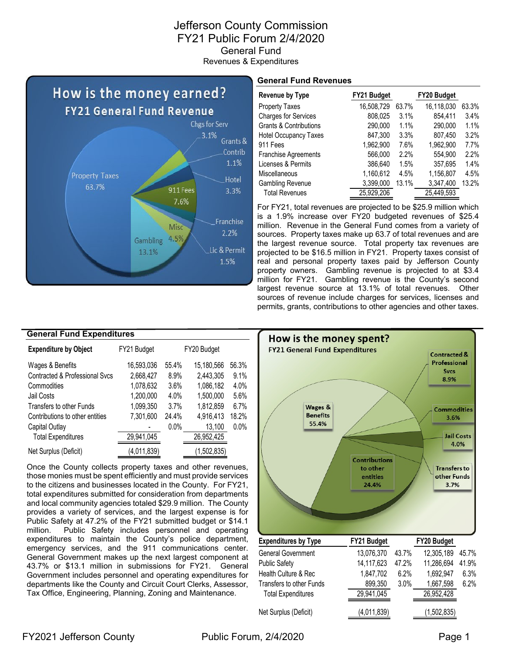### Jefferson County Commission FY21 Public Forum 2/4/2020 General Fund Revenues & Expenditures



#### **General Fund Revenues**

| Revenue by Type                   | FY21 Budget |       | FY20 Budget |       |
|-----------------------------------|-------------|-------|-------------|-------|
| <b>Property Taxes</b>             | 16,508,729  | 63.7% | 16,118,030  | 63.3% |
| <b>Charges for Services</b>       | 808,025     | 3.1%  | 854.411     | 3.4%  |
| <b>Grants &amp; Contributions</b> | 290,000     | 1.1%  | 290,000     | 1.1%  |
| <b>Hotel Occupancy Taxes</b>      | 847,300     | 3.3%  | 807,450     | 3.2%  |
| 911 Fees                          | 1,962,900   | 7.6%  | 1,962,900   | 7.7%  |
| Franchise Agreements              | 566,000     | 2.2%  | 554.900     | 2.2%  |
| Licenses & Permits                | 386,640     | 1.5%  | 357,695     | 1.4%  |
| <b>Miscellaneous</b>              | 1,160,612   | 4.5%  | 1,156,807   | 4.5%  |
| <b>Gambling Revenue</b>           | 3,399,000   | 13.1% | 3,347,400   | 13.2% |
| <b>Total Revenues</b>             | 25.929.206  |       | 25.449.593  |       |

For FY21, total revenues are projected to be \$25.9 million which is a 1.9% increase over FY20 budgeted revenues of \$25.4 million. Revenue in the General Fund comes from a variety of sources. Property taxes make up 63.7 of total revenues and are the largest revenue source. Total property tax revenues are projected to be \$16.5 million in FY21. Property taxes consist of real and personal property taxes paid by Jefferson County property owners. Gambling revenue is projected to at \$3.4 million for FY21. Gambling revenue is the County's second largest revenue source at 13.1% of total revenues. Other sources of revenue include charges for services, licenses and permits, grants, contributions to other agencies and other taxes.

| <b>General Fund Expenditures</b> |             |       |             |         |  |  |  |  |  |  |  |
|----------------------------------|-------------|-------|-------------|---------|--|--|--|--|--|--|--|
| <b>Expenditure by Object</b>     | FY21 Budget |       | FY20 Budget |         |  |  |  |  |  |  |  |
| Wages & Benefits                 | 16,593,036  | 55.4% | 15,180,566  | 56.3%   |  |  |  |  |  |  |  |
| Contracted & Professional Svcs   | 2,668,427   | 8.9%  | 2,443,305   | 9.1%    |  |  |  |  |  |  |  |
| Commodities                      | 1,078,632   | 3.6%  | 1,086,182   | 4.0%    |  |  |  |  |  |  |  |
| Jail Costs                       | 1,200,000   | 4.0%  | 1,500,000   | 5.6%    |  |  |  |  |  |  |  |
| Transfers to other Funds         | 1,099,350   | 3.7%  | 1,812,859   | 6.7%    |  |  |  |  |  |  |  |
| Contributions to other entities  | 7,301,600   | 24.4% | 4,916,413   | 18.2%   |  |  |  |  |  |  |  |
| Capital Outlay                   |             | 0.0%  | 13,100      | $0.0\%$ |  |  |  |  |  |  |  |
| <b>Total Expenditures</b>        | 29,941,045  |       | 26,952,425  |         |  |  |  |  |  |  |  |
| Net Surplus (Deficit)            | (4,011,839) |       | (1,502,835) |         |  |  |  |  |  |  |  |

Once the County collects property taxes and other revenues, those monies must be spent efficiently and must provide services to the citizens and businesses located in the County. For FY21, total expenditures submitted for consideration from departments and local community agencies totaled \$29.9 million. The County provides a variety of services, and the largest expense is for Public Safety at 47.2% of the FY21 submitted budget or \$14.1 million. Public Safety includes personnel and operating expenditures to maintain the County's police department, emergency services, and the 911 communications center. General Government makes up the next largest component at 43.7% or \$13.1 million in submissions for FY21. General Government includes personnel and operating expenditures for departments like the County and Circuit Court Clerks, Assessor, Tax Office, Engineering, Planning, Zoning and Maintenance.

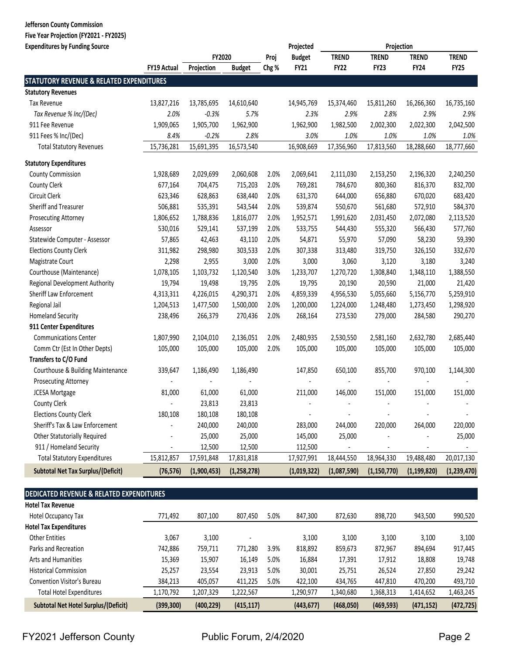## **Jefferson County Commission**

**Five Year Projection (FY2021 ‐ FY2025)**

| <b>Expenditures by Funding Source</b>               |                          |             |               |       | Projected      |                | Projection     |                          |                          |
|-----------------------------------------------------|--------------------------|-------------|---------------|-------|----------------|----------------|----------------|--------------------------|--------------------------|
|                                                     |                          | FY2020      |               | Proj  | <b>Budget</b>  | <b>TREND</b>   | <b>TREND</b>   | <b>TREND</b>             | <b>TREND</b>             |
|                                                     | FY19 Actual              | Projection  | <b>Budget</b> | Chg % | <b>FY21</b>    | <b>FY22</b>    | <b>FY23</b>    | <b>FY24</b>              | <b>FY25</b>              |
| <b>STATUTORY REVENUE &amp; RELATED EXPENDITURES</b> |                          |             |               |       |                |                |                |                          |                          |
| <b>Statutory Revenues</b>                           |                          |             |               |       |                |                |                |                          |                          |
| Tax Revenue                                         | 13,827,216               | 13,785,695  | 14,610,640    |       | 14,945,769     | 15,374,460     | 15,811,260     | 16,266,360               | 16,735,160               |
| Tax Revenue % Inc/(Dec)                             | 2.0%                     | $-0.3%$     | 5.7%          |       | 2.3%           | 2.9%           | 2.8%           | 2.9%                     | 2.9%                     |
| 911 Fee Revenue                                     | 1,909,065                | 1,905,700   | 1,962,900     |       | 1,962,900      | 1,982,500      | 2,002,300      | 2,022,300                | 2,042,500                |
| 911 Fees % Inc/(Dec)                                | 8.4%                     | $-0.2%$     | 2.8%          |       | 3.0%           | 1.0%           | 1.0%           | 1.0%                     | 1.0%                     |
| <b>Total Statutory Revenues</b>                     | 15,736,281               | 15,691,395  | 16,573,540    |       | 16,908,669     | 17,356,960     | 17,813,560     | 18,288,660               | 18,777,660               |
| <b>Statutory Expenditures</b>                       |                          |             |               |       |                |                |                |                          |                          |
| <b>County Commission</b>                            | 1,928,689                | 2,029,699   | 2,060,608     | 2.0%  | 2,069,641      | 2,111,030      | 2,153,250      | 2,196,320                | 2,240,250                |
| <b>County Clerk</b>                                 | 677,164                  | 704,475     | 715,203       | 2.0%  | 769,281        | 784,670        | 800,360        | 816,370                  | 832,700                  |
| Circuit Clerk                                       | 623,346                  | 628,863     | 638,440       | 2.0%  | 631,370        | 644,000        | 656,880        | 670,020                  | 683,420                  |
| Sheriff and Treasurer                               | 506,881                  | 535,391     | 543,544       | 2.0%  | 539,874        | 550,670        | 561,680        | 572,910                  | 584,370                  |
| Prosecuting Attorney                                | 1,806,652                | 1,788,836   | 1,816,077     | 2.0%  | 1,952,571      | 1,991,620      | 2,031,450      | 2,072,080                | 2,113,520                |
| Assessor                                            | 530,016                  | 529,141     | 537,199       | 2.0%  | 533,755        | 544,430        | 555,320        | 566,430                  | 577,760                  |
| Statewide Computer - Assessor                       | 57,865                   | 42,463      | 43,110        | 2.0%  | 54,871         | 55,970         | 57,090         | 58,230                   | 59,390                   |
| <b>Elections County Clerk</b>                       | 311,982                  | 298,980     | 303,533       | 2.0%  | 307,338        | 313,480        | 319,750        | 326,150                  | 332,670                  |
| Magistrate Court                                    | 2,298                    | 2,955       | 3,000         | 2.0%  | 3,000          | 3,060          | 3,120          | 3,180                    | 3,240                    |
| Courthouse (Maintenance)                            | 1,078,105                | 1,103,732   | 1,120,540     | 3.0%  | 1,233,707      | 1,270,720      | 1,308,840      | 1,348,110                | 1,388,550                |
| Regional Development Authority                      | 19,794                   | 19,498      | 19,795        | 2.0%  | 19,795         | 20,190         | 20,590         | 21,000                   | 21,420                   |
| Sheriff Law Enforcement                             | 4,313,311                | 4,226,015   | 4,290,371     | 2.0%  | 4,859,339      | 4,956,530      | 5,055,660      | 5,156,770                | 5,259,910                |
| Regional Jail                                       | 1,204,513                | 1,477,500   | 1,500,000     | 2.0%  | 1,200,000      | 1,224,000      | 1,248,480      | 1,273,450                | 1,298,920                |
| <b>Homeland Security</b>                            | 238,496                  | 266,379     | 270,436       | 2.0%  | 268,164        | 273,530        | 279,000        | 284,580                  | 290,270                  |
| 911 Center Expenditures                             |                          |             |               |       |                |                |                |                          |                          |
| <b>Communications Center</b>                        | 1,807,990                | 2,104,010   | 2,136,051     | 2.0%  | 2,480,935      | 2,530,550      | 2,581,160      | 2,632,780                | 2,685,440                |
| Comm Ctr (Est In Other Depts)                       | 105,000                  | 105,000     | 105,000       | 2.0%  | 105,000        | 105,000        | 105,000        | 105,000                  | 105,000                  |
| Transfers to C/O Fund                               |                          |             |               |       |                |                |                |                          |                          |
| Courthouse & Building Maintenance                   | 339,647                  | 1,186,490   | 1,186,490     |       | 147,850        | 650,100        | 855,700        | 970,100                  | 1,144,300                |
| Prosecuting Attorney                                | $\overline{\phantom{a}}$ |             |               |       |                |                |                | $\overline{\phantom{a}}$ |                          |
| <b>JCESA Mortgage</b>                               | 81,000                   | 61,000      | 61,000        |       | 211,000        | 146,000        | 151,000        | 151,000                  | 151,000                  |
| County Clerk                                        |                          | 23,813      | 23,813        |       |                |                |                |                          |                          |
| <b>Elections County Clerk</b>                       | 180,108                  | 180,108     | 180,108       |       | $\blacksquare$ | $\blacksquare$ | $\blacksquare$ | $\blacksquare$           | $\overline{\phantom{a}}$ |
| Sheriff's Tax & Law Enforcement                     |                          | 240,000     | 240,000       |       | 283,000        | 244,000        | 220,000        | 264,000                  | 220,000                  |
| <b>Other Statutorially Required</b>                 |                          | 25,000      | 25,000        |       | 145,000        | 25,000         |                |                          | 25,000                   |
| 911 / Homeland Security                             |                          | 12,500      | 12,500        |       | 112,500        |                |                |                          |                          |
| <b>Total Statutory Expenditures</b>                 | 15,812,857               | 17,591,848  | 17,831,818    |       | 17,927,991     | 18,444,550     | 18,964,330     | 19,488,480               | 20,017,130               |
| <b>Subtotal Net Tax Surplus/(Deficit)</b>           | (76, 576)                | (1,900,453) | (1, 258, 278) |       | (1,019,322)    | (1,087,590)    | (1, 150, 770)  | (1, 199, 820)            | (1,239,470)              |

#### **DEDICATED REVENUE & RELATED EXPENDITURES**

| <b>Hotel Tax Revenue</b>                    |            |            |            |      |            |           |            |            |            |
|---------------------------------------------|------------|------------|------------|------|------------|-----------|------------|------------|------------|
| Hotel Occupancy Tax                         | 771,492    | 807,100    | 807,450    | 5.0% | 847,300    | 872,630   | 898,720    | 943,500    | 990,520    |
| <b>Hotel Tax Expenditures</b>               |            |            |            |      |            |           |            |            |            |
| <b>Other Entities</b>                       | 3,067      | 3,100      |            |      | 3,100      | 3,100     | 3.100      | 3,100      | 3,100      |
| Parks and Recreation                        | 742,886    | 759,711    | 771,280    | 3.9% | 818,892    | 859,673   | 872,967    | 894,694    | 917,445    |
| Arts and Humanities                         | 15,369     | 15,907     | 16,149     | 5.0% | 16,884     | 17,391    | 17,912     | 18,808     | 19,748     |
| <b>Historical Commission</b>                | 25,257     | 23,554     | 23,913     | 5.0% | 30,001     | 25,751    | 26,524     | 27,850     | 29,242     |
| Convention Visitor's Bureau                 | 384,213    | 405,057    | 411,225    | 5.0% | 422,100    | 434,765   | 447,810    | 470,200    | 493,710    |
| <b>Total Hotel Expenditures</b>             | 1,170,792  | 1,207,329  | 1,222,567  |      | 1,290,977  | 1,340,680 | 1,368,313  | 1,414,652  | 1,463,245  |
| <b>Subtotal Net Hotel Surplus/(Deficit)</b> | (399, 300) | (400, 229) | (415, 117) |      | (443, 677) | (468,050) | (469, 593) | (471, 152) | (472, 725) |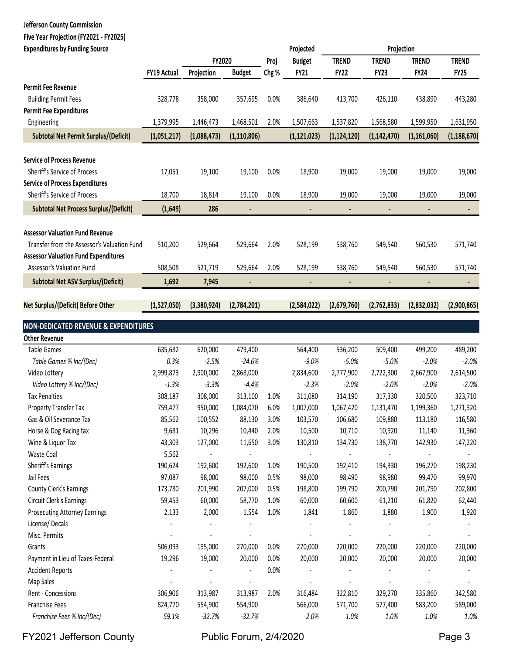#### **Jefferson County Commission Five Year Projection (FY2021 ‐ FY2025)**

| <b>Expenditures by Funding Source</b>           |                    |             |                      |       | Projected     |               | Projection    |               |               |
|-------------------------------------------------|--------------------|-------------|----------------------|-------|---------------|---------------|---------------|---------------|---------------|
|                                                 |                    | FY2020      |                      | Proj  | <b>Budget</b> | <b>TREND</b>  | <b>TREND</b>  | <b>TREND</b>  | <b>TREND</b>  |
|                                                 | <b>FY19 Actual</b> | Projection  | <b>Budget</b>        | Chg % | <b>FY21</b>   | <b>FY22</b>   | <b>FY23</b>   | <b>FY24</b>   | <b>FY25</b>   |
| Permit Fee Revenue                              |                    |             |                      |       |               |               |               |               |               |
| <b>Building Permit Fees</b>                     | 328,778            | 358,000     | 357,695              | 0.0%  | 386,640       | 413,700       | 426,110       | 438,890       | 443,280       |
| <b>Permit Fee Expenditures</b>                  |                    |             |                      |       |               |               |               |               |               |
| Engineering                                     | 1,379,995          | 1,446,473   | 1,468,501            | 2.0%  | 1,507,663     | 1,537,820     | 1,568,580     | 1,599,950     | 1,631,950     |
| Subtotal Net Permit Surplus/(Deficit)           | (1,051,217)        | (1,088,473) | (1, 110, 806)        |       | (1, 121, 023) | (1, 124, 120) | (1, 142, 470) | (1, 161, 060) | (1, 188, 670) |
| <b>Service of Process Revenue</b>               |                    |             |                      |       |               |               |               |               |               |
| Sheriff's Service of Process                    | 17,051             | 19,100      | 19,100               | 0.0%  | 18,900        | 19,000        | 19,000        | 19,000        | 19,000        |
| <b>Service of Process Expenditures</b>          |                    |             |                      |       |               |               |               |               |               |
| Sheriff's Service of Process                    | 18,700             | 18,814      | 19,100               | 0.0%  | 18,900        | 19,000        | 19,000        | 19,000        | 19,000        |
| <b>Subtotal Net Process Surplus/(Deficit)</b>   | (1,649)            | 286         | $\blacksquare$       |       |               |               |               |               | $\sim$        |
|                                                 |                    |             |                      |       |               |               |               |               |               |
| <b>Assessor Valuation Fund Revenue</b>          |                    |             |                      |       |               |               |               |               |               |
| Transfer from the Assessor's Valuation Fund     | 510,200            | 529,664     | 529,664              | 2.0%  | 528,199       | 538,760       | 549,540       | 560,530       | 571,740       |
| <b>Assessor Valuation Fund Expenditures</b>     |                    |             |                      |       |               |               |               |               |               |
| Assessor's Valuation Fund                       | 508,508            | 521,719     | 529,664              | 2.0%  | 528,199       | 538,760       | 549,540       | 560,530       | 571,740       |
| <b>Subtotal Net ASV Surplus/(Deficit)</b>       | 1,692              | 7,945       |                      |       |               |               |               |               |               |
| Net Surplus/(Deficit) Before Other              | (1,527,050)        | (3,380,924) | (2,784,201)          |       | (2,584,022)   | (2,679,760)   | (2,762,833)   | (2,832,032)   | (2,900,865)   |
| <b>NON-DEDICATED REVENUE &amp; EXPENDITURES</b> |                    |             |                      |       |               |               |               |               |               |
| <b>Other Revenue</b>                            |                    |             |                      |       |               |               |               |               |               |
| <b>Table Games</b>                              | 635,682            | 620,000     | 479,400              |       | 564,400       | 536,200       | 509,400       | 499,200       | 489,200       |
| Table Games % Inc/(Dec)                         | 0.3%               | $-2.5%$     | $-24.6%$             |       | $-9.0%$       | $-5.0%$       | $-5.0%$       | $-2.0%$       | $-2.0%$       |
| Video Lottery                                   | 2,999,873          | 2,900,000   | 2,868,000            |       | 2,834,600     | 2,777,900     | 2,722,300     | 2,667,900     | 2,614,500     |
| Video Lottery % Inc/(Dec)                       | $-1.3%$            | $-3.3%$     | $-4.4%$              |       | $-2.3%$       | $-2.0%$       | $-2.0%$       | $-2.0%$       | $-2.0%$       |
| <b>Tax Penalties</b>                            | 308,187            | 308,000     | 313,100              | 1.0%  | 311,080       | 314,190       | 317,330       | 320,500       | 323,710       |
| Property Transfer Tax                           | 759,477            | 950,000     | 1,084,070            | 6.0%  | 1,007,000     | 1,067,420     | 1,131,470     | 1,199,360     | 1,271,320     |
| Gas & Oil Severance Tax                         | 85,562             | 100,552     | 88,130               | 3.0%  | 103,570       | 106,680       | 109,880       | 113,180       | 116,580       |
| Horse & Dog Racing tax                          | 9,681              | 10,296      | 10,440               | 2.0%  | 10,500        | 10,710        | 10,920        | 11,140        | 11,360        |
| Wine & Liquor Tax                               | 43,303             | 127,000     | 11,650               | 3.0%  | 130,810       | 134,730       | 138,770       | 142,930       | 147,220       |
| Waste Coal                                      | 5,562              |             |                      |       |               |               |               |               |               |
| Sheriff's Earnings                              | 190,624            | 192,600     | 192,600              | 1.0%  | 190,500       | 192,410       | 194,330       | 196,270       | 198,230       |
| Jail Fees                                       | 97,087             | 98,000      | 98,000               | 0.5%  | 98,000        | 98,490        | 98,980        | 99,470        | 99,970        |
| County Clerk's Earnings                         | 173,780            | 201,990     | 207,000              | 0.5%  | 198,800       | 199,790       | 200,790       | 201,790       | 202,800       |
| Circuit Clerk's Earnings                        | 59,453             | 60,000      | 58,770               | 1.0%  | 60,000        | 60,600        | 61,210        | 61,820        | 62,440        |
| <b>Prosecuting Attorney Earnings</b>            | 2,133              | 2,000       | 1,554                | 1.0%  | 1,841         | 1,860         | 1,880         | 1,900         | 1,920         |
| License/Decals                                  |                    |             |                      |       |               |               |               |               |               |
| Misc. Permits                                   |                    |             |                      |       |               |               |               |               |               |
| Grants                                          | 506,093            | 195,000     | 270,000              | 0.0%  | 270,000       | 220,000       | 220,000       | 220,000       | 220,000       |
| Payment in Lieu of Taxes-Federal                | 19,296             | 19,000      | 20,000               | 0.0%  | 20,000        | 20,000        | 20,000        | 20,000        | 20,000        |
| <b>Accident Reports</b>                         |                    |             | $\ddot{\phantom{a}}$ | 0.0%  |               |               |               |               |               |
| Map Sales                                       |                    |             |                      |       |               |               |               |               |               |
| Rent - Concessions                              | 306,906            | 313,987     | 313,987              | 2.0%  | 316,484       | 322,810       | 329,270       | 335,860       | 342,580       |
| Franchise Fees                                  | 824,770            | 554,900     | 554,900              |       | 566,000       | 571,700       | 577,400       | 583,200       | 589,000       |
| Franchise Fees % Inc/(Dec)                      | 59.1%              | $-32.7%$    | $-32.7%$             |       | 2.0%          | 1.0%          | 1.0%          | 1.0%          | 1.0%          |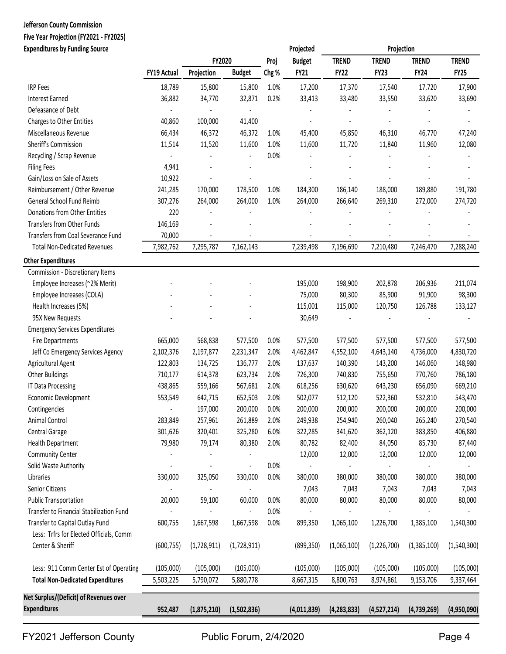# **Jefferson County Commission Five Year Projection (FY2021 ‐ FY2025)**

| <b>Expenditures by Funding Source</b>    |                    |             |                |       | Projected      |               | Projection   |              |              |
|------------------------------------------|--------------------|-------------|----------------|-------|----------------|---------------|--------------|--------------|--------------|
|                                          |                    | FY2020      |                | Proj  | <b>Budget</b>  | <b>TREND</b>  | <b>TREND</b> | <b>TREND</b> | <b>TREND</b> |
|                                          | <b>FY19 Actual</b> | Projection  | <b>Budget</b>  | Chg % | <b>FY21</b>    | <b>FY22</b>   | <b>FY23</b>  | <b>FY24</b>  | <b>FY25</b>  |
| <b>IRP Fees</b>                          | 18,789             | 15,800      | 15,800         | 1.0%  | 17,200         | 17,370        | 17,540       | 17,720       | 17,900       |
| <b>Interest Earned</b>                   | 36,882             | 34,770      | 32,871         | 0.2%  | 33,413         | 33,480        | 33,550       | 33,620       | 33,690       |
| Defeasance of Debt                       |                    |             |                |       |                |               |              |              |              |
| Charges to Other Entities                | 40,860             | 100,000     | 41,400         |       |                |               |              |              |              |
| Miscellaneous Revenue                    | 66,434             | 46,372      | 46,372         | 1.0%  | 45,400         | 45,850        | 46,310       | 46,770       | 47,240       |
| Sheriff's Commission                     | 11,514             | 11,520      | 11,600         | 1.0%  | 11,600         | 11,720        | 11,840       | 11,960       | 12,080       |
| Recycling / Scrap Revenue                |                    |             |                | 0.0%  |                |               |              |              |              |
| <b>Filing Fees</b>                       | 4,941              |             |                |       |                |               |              |              |              |
| Gain/Loss on Sale of Assets              | 10,922             |             |                |       |                |               |              |              |              |
| Reimbursement / Other Revenue            | 241,285            | 170,000     | 178,500        | 1.0%  | 184,300        | 186,140       | 188,000      | 189,880      | 191,780      |
| General School Fund Reimb                | 307,276            | 264,000     | 264,000        | 1.0%  | 264,000        | 266,640       | 269,310      | 272,000      | 274,720      |
| Donations from Other Entities            | 220                |             |                |       |                |               |              |              |              |
| <b>Transfers from Other Funds</b>        | 146,169            |             |                |       |                |               |              |              |              |
| Transfers from Coal Severance Fund       | 70,000             |             |                |       |                |               |              |              |              |
| <b>Total Non-Dedicated Revenues</b>      | 7,982,762          | 7,295,787   | 7,162,143      |       | 7,239,498      | 7,196,690     | 7,210,480    | 7,246,470    | 7,288,240    |
| <b>Other Expenditures</b>                |                    |             |                |       |                |               |              |              |              |
| Commission - Discretionary Items         |                    |             |                |       |                |               |              |              |              |
| Employee Increases (~2% Merit)           |                    |             |                |       | 195,000        | 198,900       | 202,878      | 206,936      | 211,074      |
| Employee Increases (COLA)                |                    |             |                |       | 75,000         | 80,300        | 85,900       | 91,900       | 98,300       |
| Health Increases (5%)                    |                    |             |                |       | 115,001        | 115,000       | 120,750      | 126,788      | 133,127      |
| 95X New Requests                         |                    |             |                |       | 30,649         |               |              |              |              |
| <b>Emergency Services Expenditures</b>   |                    |             |                |       |                |               |              |              |              |
| <b>Fire Departments</b>                  | 665,000            | 568,838     | 577,500        | 0.0%  | 577,500        | 577,500       | 577,500      | 577,500      | 577,500      |
| Jeff Co Emergency Services Agency        | 2,102,376          | 2,197,877   | 2,231,347      | 2.0%  | 4,462,847      | 4,552,100     | 4,643,140    | 4,736,000    | 4,830,720    |
| Agricultural Agent                       | 122,803            | 134,725     | 136,777        | 2.0%  | 137,637        | 140,390       | 143,200      | 146,060      | 148,980      |
| <b>Other Buildings</b>                   | 710,177            | 614,378     | 623,734        | 2.0%  | 726,300        | 740,830       | 755,650      | 770,760      | 786,180      |
| <b>IT Data Processing</b>                | 438,865            | 559,166     | 567,681        | 2.0%  | 618,256        | 630,620       | 643,230      | 656,090      | 669,210      |
| Economic Development                     | 553,549            | 642,715     | 652,503        | 2.0%  | 502,077        | 512,120       | 522,360      | 532,810      | 543,470      |
| Contingencies                            | $\blacksquare$     | 197,000     | 200,000        | 0.0%  | 200,000        | 200,000       | 200,000      | 200,000      | 200,000      |
| Animal Control                           | 283,849            | 257,961     | 261,889        | 2.0%  | 249,938        | 254,940       | 260,040      | 265,240      | 270,540      |
| Central Garage                           | 301,626            | 320,401     | 325,280        | 6.0%  | 322,285        | 341,620       | 362,120      | 383,850      | 406,880      |
| Health Department                        | 79,980             | 79,174      | 80,380         | 2.0%  | 80,782         | 82,400        | 84,050       | 85,730       | 87,440       |
| <b>Community Center</b>                  |                    |             |                |       | 12,000         | 12,000        | 12,000       | 12,000       | 12,000       |
| Solid Waste Authority                    |                    |             | $\blacksquare$ | 0.0%  | $\blacksquare$ |               |              | ٠            |              |
| Libraries                                | 330,000            | 325,050     | 330,000        | 0.0%  | 380,000        | 380,000       | 380,000      | 380,000      | 380,000      |
| Senior Citizens                          |                    |             |                |       | 7,043          | 7,043         | 7,043        | 7,043        | 7,043        |
| <b>Public Transportation</b>             | 20,000             | 59,100      | 60,000         | 0.0%  | 80,000         | 80,000        | 80,000       | 80,000       | 80,000       |
| Transfer to Financial Stabilization Fund |                    |             |                | 0.0%  |                |               |              |              |              |
| Transfer to Capital Outlay Fund          | 600,755            | 1,667,598   | 1,667,598      | 0.0%  | 899,350        | 1,065,100     | 1,226,700    | 1,385,100    | 1,540,300    |
| Less: Trfrs for Elected Officials, Comm  |                    |             |                |       |                |               |              |              |              |
| Center & Sheriff                         | (600, 755)         | (1,728,911) | (1,728,911)    |       | (899, 350)     | (1,065,100)   | (1,226,700)  | (1,385,100)  | (1,540,300)  |
| Less: 911 Comm Center Est of Operating   | (105,000)          | (105,000)   | (105,000)      |       | (105,000)      | (105,000)     | (105,000)    | (105,000)    | (105,000)    |
| <b>Total Non-Dedicated Expenditures</b>  | 5,503,225          | 5,790,072   | 5,880,778      |       | 8,667,315      | 8,800,763     | 8,974,861    | 9,153,706    | 9,337,464    |
| Net Surplus/(Deficit) of Revenues over   |                    |             |                |       |                |               |              |              |              |
| <b>Expenditures</b>                      | 952,487            | (1,875,210) | (1,502,836)    |       | (4,011,839)    | (4, 283, 833) | (4,527,214)  | (4,739,269)  | (4,950,090)  |
|                                          |                    |             |                |       |                |               |              |              |              |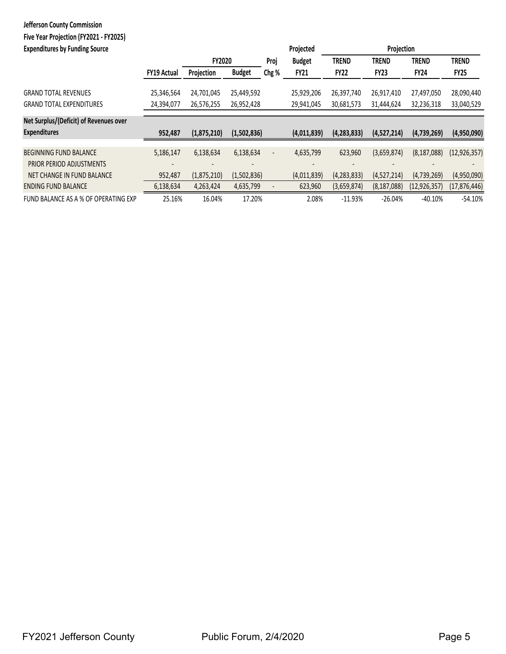## **Jefferson County Commission Five Year Projection (FY2021 ‐ FY2025)**

| <b>Expenditures by Funding Source</b>  |                    |               |               |                          | Projected     |               | Projection    |                |                |  |
|----------------------------------------|--------------------|---------------|---------------|--------------------------|---------------|---------------|---------------|----------------|----------------|--|
|                                        |                    | <b>FY2020</b> |               | Proj                     | <b>Budget</b> | <b>TREND</b>  | <b>TREND</b>  | <b>TREND</b>   | <b>TREND</b>   |  |
|                                        | <b>FY19 Actual</b> | Projection    | <b>Budget</b> | Chg %                    | <b>FY21</b>   | FY22          | <b>FY23</b>   | <b>FY24</b>    | FY25           |  |
| <b>GRAND TOTAL REVENUES</b>            | 25,346,564         | 24,701,045    | 25,449,592    |                          | 25,929,206    | 26,397,740    | 26,917,410    | 27,497,050     | 28,090,440     |  |
| <b>GRAND TOTAL EXPENDITURES</b>        | 24,394,077         | 26,576,255    | 26,952,428    |                          | 29,941,045    | 30,681,573    | 31,444,624    | 32,236,318     | 33,040,529     |  |
| Net Surplus/(Deficit) of Revenues over |                    |               |               |                          |               |               |               |                |                |  |
| <b>Expenditures</b>                    | 952,487            | (1,875,210)   | (1,502,836)   |                          | (4,011,839)   | (4, 283, 833) | (4,527,214)   | (4,739,269)    | (4,950,090)    |  |
| <b>BEGINNING FUND BALANCE</b>          | 5,186,147          | 6,138,634     | 6,138,634     | $\overline{\phantom{a}}$ | 4,635,799     | 623,960       | (3,659,874)   | (8, 187, 088)  | (12, 926, 357) |  |
| PRIOR PERIOD ADJUSTMENTS               |                    |               |               |                          |               |               |               |                |                |  |
| NET CHANGE IN FUND BALANCE             | 952,487            | (1,875,210)   | (1,502,836)   |                          | (4,011,839)   | (4, 283, 833) | (4,527,214)   | (4,739,269)    | (4,950,090)    |  |
| <b>ENDING FUND BALANCE</b>             | 6,138,634          | 4,263,424     | 4,635,799     |                          | 623,960       | (3,659,874)   | (8, 187, 088) | (12, 926, 357) | (17, 876, 446) |  |
| FUND BALANCE AS A % OF OPERATING EXP   | 25.16%             | 16.04%        | 17.20%        |                          | 2.08%         | $-11.93%$     | $-26.04%$     | $-40.10%$      | $-54.10%$      |  |